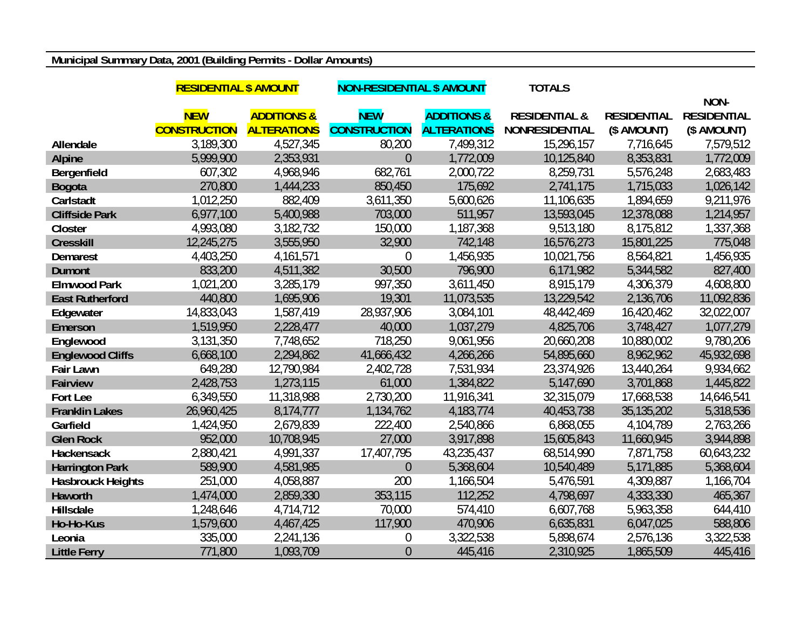## **Municipal Summary Data, 2001 (Building Permits - Dollar Amounts)**

|                          | <b>RESIDENTIAL \$ AMOUNT</b> |                        | <b>NON-RESIDENTIAL \$ AMOUNT</b> |                        | <b>TOTALS</b>            |                    |                    |
|--------------------------|------------------------------|------------------------|----------------------------------|------------------------|--------------------------|--------------------|--------------------|
|                          |                              |                        |                                  |                        |                          |                    | NON-               |
|                          | <b>NEW</b>                   | <b>ADDITIONS &amp;</b> | <b>NEW</b>                       | <b>ADDITIONS &amp;</b> | <b>RESIDENTIAL &amp;</b> | <b>RESIDENTIAL</b> | <b>RESIDENTIAL</b> |
|                          | <b>CONSTRUCTION</b>          | <b>ALTERATIONS</b>     | <b>CONSTRUCTION</b>              | <b>ALTERATIONS</b>     | <b>NONRESIDENTIAL</b>    | (\$ AMOUNT)        | (\$ AMOUNT)        |
| Allendale                | 3,189,300                    | 4,527,345              | 80,200                           | 7,499,312              | 15,296,157               | 7,716,645          | 7,579,512          |
| <b>Alpine</b>            | 5,999,900                    | 2,353,931              | $\overline{0}$                   | 1,772,009              | 10,125,840               | 8,353,831          | 1,772,009          |
| Bergenfield              | 607,302                      | 4,968,946              | 682,761                          | 2,000,722              | 8,259,731                | 5,576,248          | 2,683,483          |
| <b>Bogota</b>            | 270,800                      | 1,444,233              | 850,450                          | 175,692                | 2,741,175                | 1,715,033          | 1,026,142          |
| Carlstadt                | 1,012,250                    | 882,409                | 3,611,350                        | 5,600,626              | 11,106,635               | 1,894,659          | 9,211,976          |
| <b>Cliffside Park</b>    | 6,977,100                    | 5,400,988              | 703,000                          | 511,957                | 13,593,045               | 12,378,088         | 1,214,957          |
| Closter                  | 4,993,080                    | 3,182,732              | 150,000                          | 1,187,368              | 9,513,180                | 8,175,812          | 1,337,368          |
| <b>Cresskill</b>         | 12,245,275                   | 3,555,950              | 32,900                           | 742,148                | 16,576,273               | 15,801,225         | 775,048            |
| <b>Demarest</b>          | 4,403,250                    | 4,161,571              | $\mathbf 0$                      | 1,456,935              | 10,021,756               | 8,564,821          | 1,456,935          |
| <b>Dumont</b>            | 833,200                      | 4,511,382              | 30,500                           | 796,900                | 6,171,982                | 5,344,582          | 827,400            |
| <b>Elmwood Park</b>      | 1,021,200                    | 3,285,179              | 997,350                          | 3,611,450              | 8,915,179                | 4,306,379          | 4,608,800          |
| <b>East Rutherford</b>   | 440,800                      | 1,695,906              | 19,301                           | 11,073,535             | 13,229,542               | 2,136,706          | 11,092,836         |
| Edgewater                | 14,833,043                   | 1,587,419              | 28,937,906                       | 3,084,101              | 48,442,469               | 16,420,462         | 32,022,007         |
| Emerson                  | 1,519,950                    | 2,228,477              | 40,000                           | 1,037,279              | 4,825,706                | 3,748,427          | 1,077,279          |
| Englewood                | 3,131,350                    | 7,748,652              | 718,250                          | 9,061,956              | 20,660,208               | 10,880,002         | 9,780,206          |
| <b>Englewood Cliffs</b>  | 6,668,100                    | 2,294,862              | 41,666,432                       | 4,266,266              | 54,895,660               | 8,962,962          | 45,932,698         |
| <b>Fair Lawn</b>         | 649,280                      | 12,790,984             | 2,402,728                        | 7,531,934              | 23,374,926               | 13,440,264         | 9,934,662          |
| <b>Fairview</b>          | 2,428,753                    | 1,273,115              | 61,000                           | 1,384,822              | 5,147,690                | 3,701,868          | 1,445,822          |
| Fort Lee                 | 6,349,550                    | 11,318,988             | 2,730,200                        | 11,916,341             | 32,315,079               | 17,668,538         | 14,646,541         |
| <b>Franklin Lakes</b>    | 26,960,425                   | 8,174,777              | 1,134,762                        | 4,183,774              | 40,453,738               | 35, 135, 202       | 5,318,536          |
| Garfield                 | 1,424,950                    | 2,679,839              | 222,400                          | 2,540,866              | 6,868,055                | 4,104,789          | 2,763,266          |
| <b>Glen Rock</b>         | 952,000                      | 10,708,945             | 27,000                           | 3,917,898              | 15,605,843               | 11,660,945         | 3,944,898          |
| <b>Hackensack</b>        | 2,880,421                    | 4,991,337              | 17,407,795                       | 43,235,437             | 68,514,990               | 7,871,758          | 60,643,232         |
| <b>Harrington Park</b>   | 589,900                      | 4,581,985              | $\overline{0}$                   | 5,368,604              | 10,540,489               | 5,171,885          | 5,368,604          |
| <b>Hasbrouck Heights</b> | 251,000                      | 4,058,887              | 200                              | 1,166,504              | 5,476,591                | 4,309,887          | 1,166,704          |
| Haworth                  | 1,474,000                    | 2,859,330              | 353,115                          | 112,252                | 4,798,697                | 4,333,330          | 465,367            |
| Hillsdale                | 1,248,646                    | 4,714,712              | 70,000                           | 574,410                | 6,607,768                | 5,963,358          | 644,410            |
| Ho-Ho-Kus                | 1,579,600                    | 4,467,425              | 117,900                          | 470,906                | 6,635,831                | 6,047,025          | 588,806            |
| Leonia                   | 335,000                      | 2,241,136              | $\boldsymbol{0}$                 | 3,322,538              | 5,898,674                | 2,576,136          | 3,322,538          |
| <b>Little Ferry</b>      | 771,800                      | 1,093,709              | $\overline{0}$                   | 445,416                | 2,310,925                | 1,865,509          | 445,416            |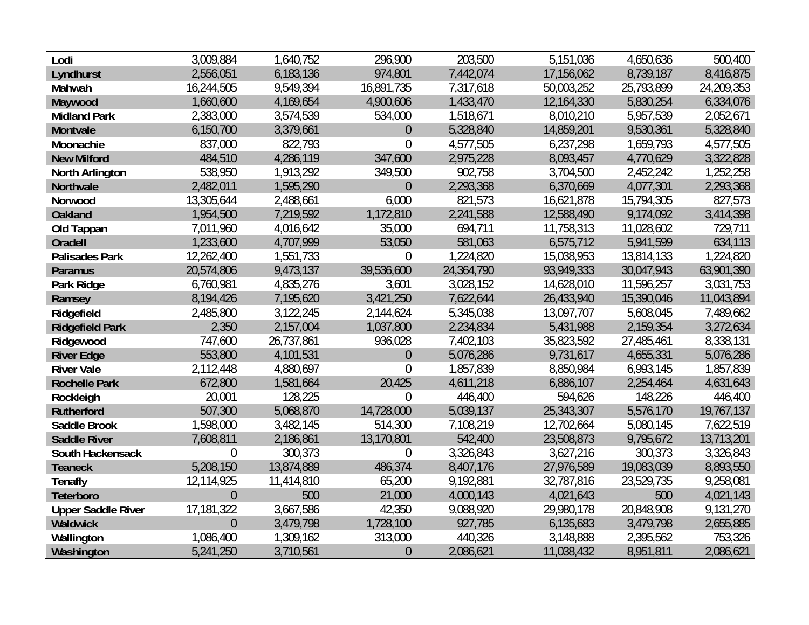| Lodi                      | 3,009,884      | 1,640,752  | 296,900          | 203,500    | 5,151,036  | 4,650,636  | 500,400    |
|---------------------------|----------------|------------|------------------|------------|------------|------------|------------|
| Lyndhurst                 | 2,556,051      | 6,183,136  | 974,801          | 7,442,074  | 17,156,062 | 8,739,187  | 8,416,875  |
| Mahwah                    | 16,244,505     | 9,549,394  | 16,891,735       | 7,317,618  | 50,003,252 | 25,793,899 | 24,209,353 |
| Maywood                   | 1,660,600      | 4,169,654  | 4,900,606        | 1,433,470  | 12,164,330 | 5,830,254  | 6,334,076  |
| <b>Midland Park</b>       | 2,383,000      | 3,574,539  | 534,000          | 1,518,671  | 8,010,210  | 5,957,539  | 2,052,671  |
| Montvale                  | 6,150,700      | 3,379,661  | $\theta$         | 5,328,840  | 14,859,201 | 9,530,361  | 5,328,840  |
| Moonachie                 | 837,000        | 822,793    | $\overline{0}$   | 4,577,505  | 6,237,298  | 1,659,793  | 4,577,505  |
| <b>New Milford</b>        | 484,510        | 4,286,119  | 347,600          | 2,975,228  | 8,093,457  | 4,770,629  | 3,322,828  |
| North Arlington           | 538,950        | 1,913,292  | 349,500          | 902,758    | 3,704,500  | 2,452,242  | 1,252,258  |
| Northvale                 | 2,482,011      | 1,595,290  | $\overline{0}$   | 2,293,368  | 6,370,669  | 4,077,301  | 2,293,368  |
| Norwood                   | 13,305,644     | 2,488,661  | 6,000            | 821,573    | 16,621,878 | 15,794,305 | 827,573    |
| <b>Oakland</b>            | 1,954,500      | 7,219,592  | 1,172,810        | 2,241,588  | 12,588,490 | 9,174,092  | 3,414,398  |
| Old Tappan                | 7,011,960      | 4,016,642  | 35,000           | 694,711    | 11,758,313 | 11,028,602 | 729,711    |
| <b>Oradell</b>            | 1,233,600      | 4,707,999  | 53,050           | 581,063    | 6,575,712  | 5,941,599  | 634,113    |
| <b>Palisades Park</b>     | 12,262,400     | 1,551,733  | $\boldsymbol{0}$ | 1,224,820  | 15,038,953 | 13,814,133 | 1,224,820  |
| Paramus                   | 20,574,806     | 9,473,137  | 39,536,600       | 24,364,790 | 93,949,333 | 30,047,943 | 63,901,390 |
| Park Ridge                | 6,760,981      | 4,835,276  | 3,601            | 3,028,152  | 14,628,010 | 11,596,257 | 3,031,753  |
| Ramsey                    | 8,194,426      | 7,195,620  | 3,421,250        | 7,622,644  | 26,433,940 | 15,390,046 | 11,043,894 |
| Ridgefield                | 2,485,800      | 3,122,245  | 2,144,624        | 5,345,038  | 13,097,707 | 5,608,045  | 7,489,662  |
| <b>Ridgefield Park</b>    | 2,350          | 2,157,004  | 1,037,800        | 2,234,834  | 5,431,988  | 2,159,354  | 3,272,634  |
| Ridgewood                 | 747,600        | 26,737,861 | 936,028          | 7,402,103  | 35,823,592 | 27,485,461 | 8,338,131  |
| <b>River Edge</b>         | 553,800        | 4,101,531  | $\theta$         | 5,076,286  | 9,731,617  | 4,655,331  | 5,076,286  |
| <b>River Vale</b>         | 2,112,448      | 4,880,697  | $\overline{0}$   | 1,857,839  | 8,850,984  | 6,993,145  | 1,857,839  |
| <b>Rochelle Park</b>      | 672,800        | 1,581,664  | 20,425           | 4,611,218  | 6,886,107  | 2,254,464  | 4,631,643  |
| Rockleigh                 | 20,001         | 128,225    | $\overline{0}$   | 446,400    | 594,626    | 148,226    | 446,400    |
| <b>Rutherford</b>         | 507,300        | 5,068,870  | 14,728,000       | 5,039,137  | 25,343,307 | 5,576,170  | 19,767,137 |
| Saddle Brook              | 1,598,000      | 3,482,145  | 514,300          | 7,108,219  | 12,702,664 | 5,080,145  | 7,622,519  |
| <b>Saddle River</b>       | 7,608,811      | 2,186,861  | 13,170,801       | 542,400    | 23,508,873 | 9,795,672  | 13,713,201 |
| South Hackensack          | $\theta$       | 300,373    | $\boldsymbol{0}$ | 3,326,843  | 3,627,216  | 300,373    | 3,326,843  |
| <b>Teaneck</b>            | 5,208,150      | 13,874,889 | 486,374          | 8,407,176  | 27,976,589 | 19,083,039 | 8,893,550  |
| <b>Tenafly</b>            | 12,114,925     | 11,414,810 | 65,200           | 9,192,881  | 32,787,816 | 23,529,735 | 9,258,081  |
| Teterboro                 | $\overline{0}$ | 500        | 21,000           | 4,000,143  | 4,021,643  | 500        | 4,021,143  |
| <b>Upper Saddle River</b> | 17,181,322     | 3,667,586  | 42,350           | 9,088,920  | 29,980,178 | 20,848,908 | 9,131,270  |
| <b>Waldwick</b>           | $\overline{0}$ | 3,479,798  | 1,728,100        | 927,785    | 6,135,683  | 3,479,798  | 2,655,885  |
| Wallington                | 1,086,400      | 1,309,162  | 313,000          | 440,326    | 3,148,888  | 2,395,562  | 753,326    |
| Washington                | 5,241,250      | 3,710,561  | $\theta$         | 2,086,621  | 11,038,432 | 8,951,811  | 2,086,621  |